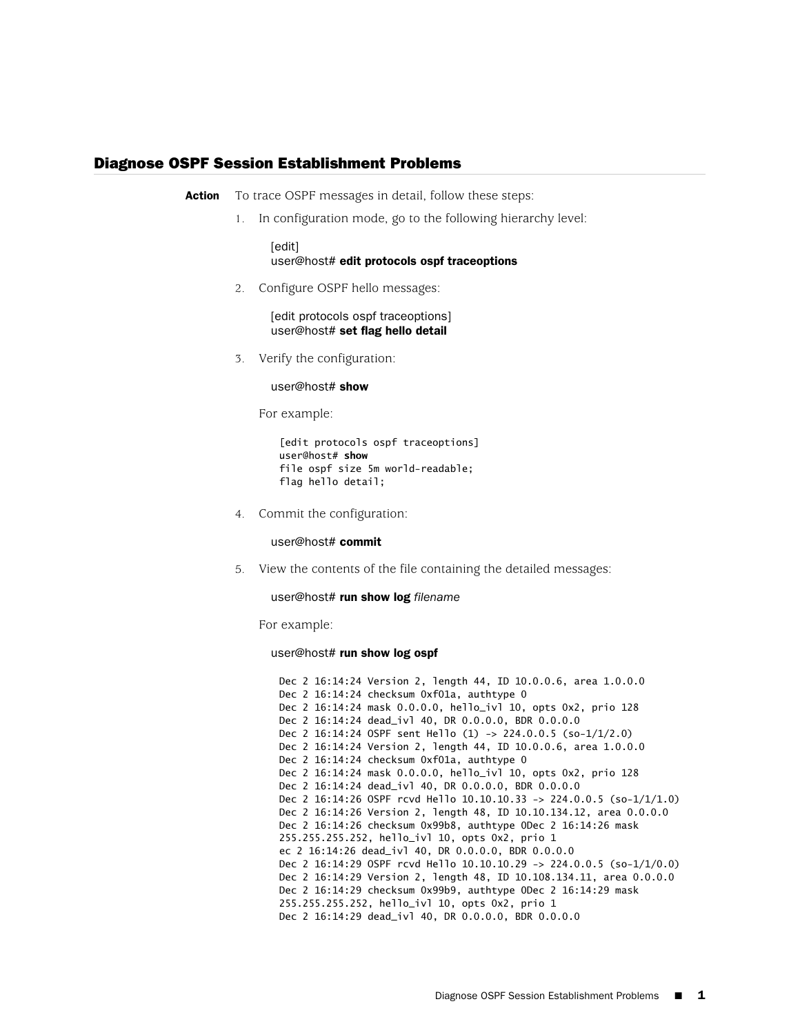## Diagnose OSPF Session Establishment Problems

**Action** To trace OSPF messages in detail, follow these steps:

1. In configuration mode, go to the following hierarchy level:

[edit] user@host# edit protocols ospf traceoptions

2. Configure OSPF hello messages:

[edit protocols ospf traceoptions] user@host# set flag hello detail

3. Verify the configuration:

user@host# show

For example:

[edit protocols ospf traceoptions] user@host# **show** file ospf size 5m world-readable; flag hello detail;

4. Commit the configuration:

user@host# commit

5. View the contents of the file containing the detailed messages:

user@host# run show log *filename*

For example:

user@host# run show log ospf

Dec 2 16:14:24 Version 2, length 44, ID 10.0.0.6, area 1.0.0.0 Dec 2 16:14:24 checksum 0xf01a, authtype 0 Dec 2 16:14:24 mask 0.0.0.0, hello\_ivl 10, opts 0x2, prio 128 Dec 2 16:14:24 dead\_ivl 40, DR 0.0.0.0, BDR 0.0.0.0 Dec 2 16:14:24 OSPF sent Hello (1) -> 224.0.0.5 (so-1/1/2.0) Dec 2 16:14:24 Version 2, length 44, ID 10.0.0.6, area 1.0.0.0 Dec 2 16:14:24 checksum 0xf01a, authtype 0 Dec 2 16:14:24 mask 0.0.0.0, hello\_ivl 10, opts 0x2, prio 128 Dec 2 16:14:24 dead\_ivl 40, DR 0.0.0.0, BDR 0.0.0.0 Dec 2 16:14:26 OSPF rcvd Hello 10.10.10.33 -> 224.0.0.5 (so-1/1/1.0) Dec 2 16:14:26 Version 2, length 48, ID 10.10.134.12, area 0.0.0.0 Dec 2 16:14:26 checksum 0x99b8, authtype 0Dec 2 16:14:26 mask 255.255.255.252, hello\_ivl 10, opts 0x2, prio 1 ec 2 16:14:26 dead\_ivl 40, DR 0.0.0.0, BDR 0.0.0.0 Dec 2 16:14:29 OSPF rcvd Hello 10.10.10.29 -> 224.0.0.5 (so-1/1/0.0) Dec 2 16:14:29 Version 2, length 48, ID 10.108.134.11, area 0.0.0.0 Dec 2 16:14:29 checksum 0x99b9, authtype 0Dec 2 16:14:29 mask 255.255.255.252, hello\_ivl 10, opts 0x2, prio 1 Dec 2 16:14:29 dead\_ivl 40, DR 0.0.0.0, BDR 0.0.0.0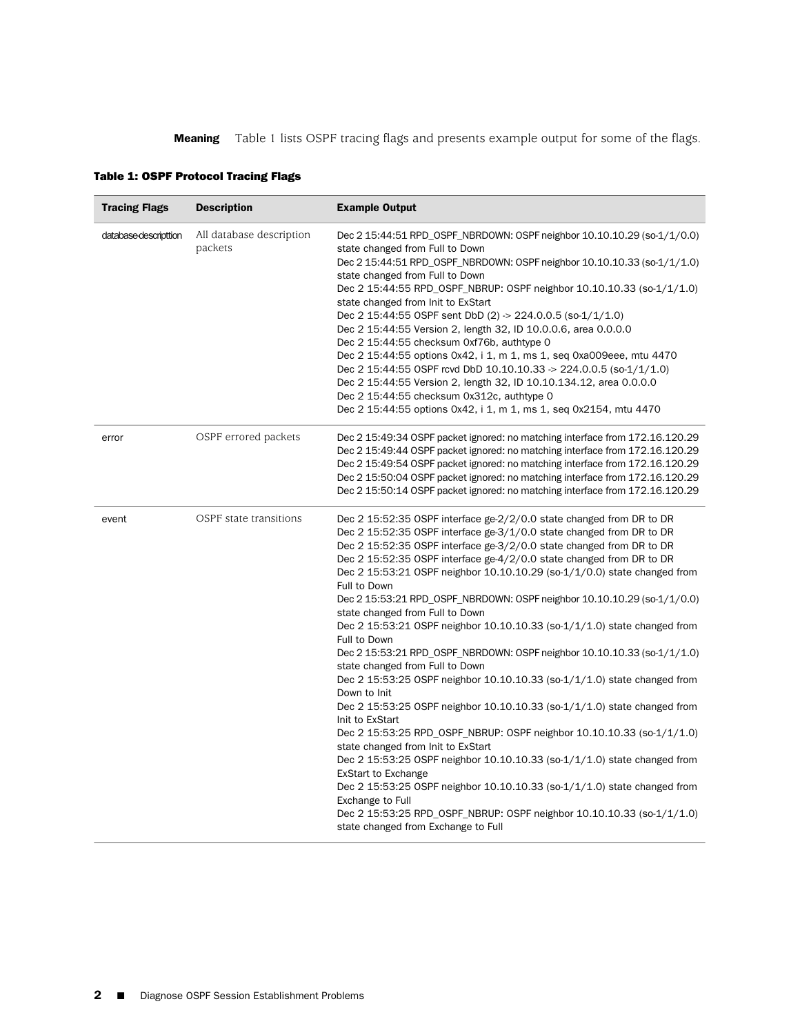<span id="page-1-0"></span>**Meaning** [Table 1](#page-1-0) lists OSPF tracing flags and presents example output for some of the flags.

| <b>Tracing Flags</b>  | <b>Description</b>                  | <b>Example Output</b>                                                                                                                                                                                                                                                                                                                                                                                                                                                                                                                                                                                                                                                                                                                                                                                                                                                                                                                                                                                                                                                                                                                                                                                                                                                                                                                                            |
|-----------------------|-------------------------------------|------------------------------------------------------------------------------------------------------------------------------------------------------------------------------------------------------------------------------------------------------------------------------------------------------------------------------------------------------------------------------------------------------------------------------------------------------------------------------------------------------------------------------------------------------------------------------------------------------------------------------------------------------------------------------------------------------------------------------------------------------------------------------------------------------------------------------------------------------------------------------------------------------------------------------------------------------------------------------------------------------------------------------------------------------------------------------------------------------------------------------------------------------------------------------------------------------------------------------------------------------------------------------------------------------------------------------------------------------------------|
| database-descripttion | All database description<br>packets | Dec 2 15:44:51 RPD_OSPF_NBRDOWN: OSPF neighbor 10.10.10.29 (so-1/1/0.0)<br>state changed from Full to Down<br>Dec 2 15:44:51 RPD_OSPF_NBRDOWN: OSPF neighbor 10.10.10.33 (so-1/1/1.0)<br>state changed from Full to Down<br>Dec 2 15:44:55 RPD_OSPF_NBRUP: OSPF neighbor 10.10.10.33 (so-1/1/1.0)<br>state changed from Init to ExStart<br>Dec 2 15:44:55 OSPF sent DbD (2) -> 224.0.0.5 (so-1/1/1.0)<br>Dec 2 15:44:55 Version 2, length 32, ID 10.0.0.6, area 0.0.0.0<br>Dec 2 15:44:55 checksum 0xf76b, authtype 0<br>Dec 2 15:44:55 options 0x42, i 1, m 1, ms 1, seq 0xa009eee, mtu 4470<br>Dec 2 15:44:55 OSPF rcvd DbD 10.10.10.33 $\rightarrow$ 224.0.0.5 (so-1/1/1.0)<br>Dec 2 15:44:55 Version 2, length 32, ID 10.10.134.12, area 0.0.0.0<br>Dec 2 15:44:55 checksum 0x312c, authtype 0<br>Dec 2 15:44:55 options 0x42, i 1, m 1, ms 1, seq 0x2154, mtu 4470                                                                                                                                                                                                                                                                                                                                                                                                                                                                                          |
| error                 | OSPF errored packets                | Dec 2 15:49:34 OSPF packet ignored: no matching interface from 172.16.120.29<br>Dec 2 15:49:44 OSPF packet ignored: no matching interface from 172.16.120.29<br>Dec 2 15:49:54 OSPF packet ignored: no matching interface from 172.16.120.29<br>Dec 2 15:50:04 OSPF packet ignored: no matching interface from 172.16.120.29<br>Dec 2 15:50:14 OSPF packet ignored: no matching interface from 172.16.120.29                                                                                                                                                                                                                                                                                                                                                                                                                                                                                                                                                                                                                                                                                                                                                                                                                                                                                                                                                     |
| event                 | OSPF state transitions              | Dec 2 15:52:35 OSPF interface ge-2/2/0.0 state changed from DR to DR<br>Dec 2 15:52:35 OSPF interface ge-3/1/0.0 state changed from DR to DR<br>Dec 2 15:52:35 OSPF interface ge-3/2/0.0 state changed from DR to DR<br>Dec 2 15:52:35 OSPF interface ge-4/2/0.0 state changed from DR to DR<br>Dec 2 15:53:21 OSPF neighbor 10.10.10.29 (so-1/1/0.0) state changed from<br>Full to Down<br>Dec 2 15:53:21 RPD_OSPF_NBRDOWN: OSPF neighbor 10.10.10.29 (so-1/1/0.0)<br>state changed from Full to Down<br>Dec 2 15:53:21 OSPF neighbor 10.10.10.33 (so-1/1/1.0) state changed from<br>Full to Down<br>Dec 2 15:53:21 RPD_OSPF_NBRDOWN: OSPF neighbor 10.10.10.33 (so-1/1/1.0)<br>state changed from Full to Down<br>Dec 2 15:53:25 OSPF neighbor $10.10.10.33$ (so- $1/1/1.0$ ) state changed from<br>Down to Init<br>Dec 2 15:53:25 OSPF neighbor 10.10.10.33 (so-1/1/1.0) state changed from<br>Init to ExStart<br>Dec 2 15:53:25 RPD_OSPF_NBRUP: OSPF neighbor 10.10.10.33 (so-1/1/1.0)<br>state changed from Init to ExStart<br>Dec 2 15:53:25 OSPF neighbor 10.10.10.33 (so-1/1/1.0) state changed from<br><b>ExStart to Exchange</b><br>Dec 2 15:53:25 OSPF neighbor $10.10.10.33$ (so- $1/1/1.0$ ) state changed from<br>Exchange to Full<br>Dec 2 15:53:25 RPD_OSPF_NBRUP: OSPF neighbor 10.10.10.33 (so-1/1/1.0)<br>state changed from Exchange to Full |

## Table 1: OSPF Protocol Tracing Flags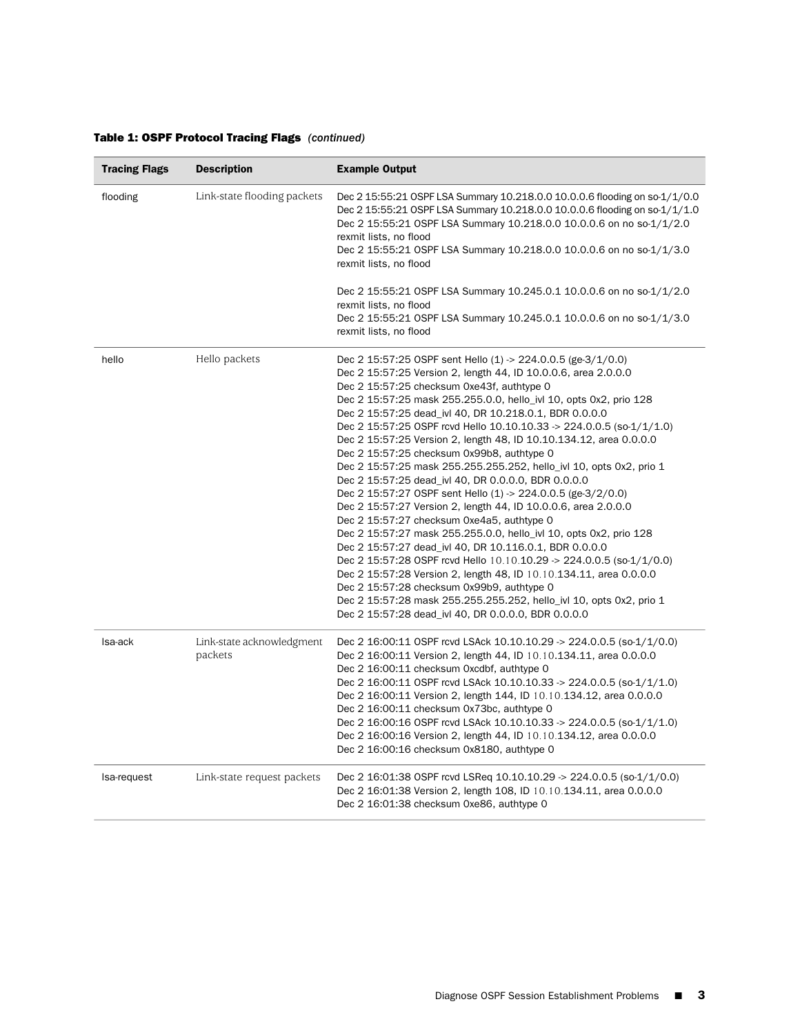## Table 1: OSPF Protocol Tracing Flags *(continued)*

| <b>Tracing Flags</b> | <b>Description</b>                   | <b>Example Output</b>                                                                                                                                                                                                                                                                                                                                                                                                                                                                                                                                                                                                                                                                                                                                                                                                                                                                                                                                                                                                                                                                                                                                                                                                                                                                       |
|----------------------|--------------------------------------|---------------------------------------------------------------------------------------------------------------------------------------------------------------------------------------------------------------------------------------------------------------------------------------------------------------------------------------------------------------------------------------------------------------------------------------------------------------------------------------------------------------------------------------------------------------------------------------------------------------------------------------------------------------------------------------------------------------------------------------------------------------------------------------------------------------------------------------------------------------------------------------------------------------------------------------------------------------------------------------------------------------------------------------------------------------------------------------------------------------------------------------------------------------------------------------------------------------------------------------------------------------------------------------------|
| flooding             | Link-state flooding packets          | Dec 2 15:55:21 OSPF LSA Summary 10.218.0.0 10.0.0.6 flooding on so-1/1/0.0<br>Dec 2 15:55:21 OSPF LSA Summary 10.218.0.0 10.0.0.6 flooding on so-1/1/1.0<br>Dec 2 15:55:21 OSPF LSA Summary 10.218.0.0 10.0.0.6 on no so-1/1/2.0<br>rexmit lists, no flood<br>Dec 2 15:55:21 OSPF LSA Summary 10.218.0.0 10.0.0.6 on no so-1/1/3.0<br>rexmit lists, no flood                                                                                                                                                                                                                                                                                                                                                                                                                                                                                                                                                                                                                                                                                                                                                                                                                                                                                                                                |
|                      |                                      | Dec 2 15:55:21 OSPF LSA Summary 10.245.0.1 10.0.0.6 on no so-1/1/2.0<br>rexmit lists, no flood<br>Dec 2 15:55:21 OSPF LSA Summary 10.245.0.1 10.0.0.6 on no so-1/1/3.0<br>rexmit lists, no flood                                                                                                                                                                                                                                                                                                                                                                                                                                                                                                                                                                                                                                                                                                                                                                                                                                                                                                                                                                                                                                                                                            |
| hello                | Hello packets                        | Dec 2 15:57:25 OSPF sent Hello (1) $>$ 224.0.0.5 (ge-3/1/0.0)<br>Dec 2 15:57:25 Version 2, length 44, ID 10.0.0.6, area 2.0.0.0<br>Dec 2 15:57:25 checksum 0xe43f, authtype 0<br>Dec 2 15:57:25 mask 255.255.0.0, hello_ivl 10, opts 0x2, prio 128<br>Dec 2 15:57:25 dead_ivl 40, DR 10.218.0.1, BDR 0.0.0.0<br>Dec 2 15:57:25 OSPF rcvd Hello 10.10.10.33 -> 224.0.0.5 (so-1/1/1.0)<br>Dec 2 15:57:25 Version 2, length 48, ID 10.10.134.12, area 0.0.0.0<br>Dec 2 15:57:25 checksum 0x99b8, authtype 0<br>Dec 2 15:57:25 mask 255.255.255.252, hello_ivl 10, opts 0x2, prio 1<br>Dec 2 15:57:25 dead_ivl 40, DR 0.0.0.0, BDR 0.0.0.0<br>Dec 2 15:57:27 OSPF sent Hello (1) $> 224.0.0.5$ (ge-3/2/0.0)<br>Dec 2 15:57:27 Version 2, length 44, ID 10.0.0.6, area 2.0.0.0<br>Dec 2 15:57:27 checksum 0xe4a5, authtype 0<br>Dec 2 15:57:27 mask 255.255.0.0, hello_ivl 10, opts 0x2, prio 128<br>Dec 2 15:57:27 dead_ivl 40, DR 10.116.0.1, BDR 0.0.0.0<br>Dec 2 15:57:28 OSPF rcvd Hello $10.10.10.29 \rightarrow 224.0.0.5$ (so-1/1/0.0)<br>Dec 2 15:57:28 Version 2, length 48, ID 10.10.134.11, area 0.0.0.0<br>Dec 2 15:57:28 checksum 0x99b9, authtype 0<br>Dec 2 15:57:28 mask 255.255.255.252, hello_ivl 10, opts 0x2, prio 1<br>Dec 2 15:57:28 dead_ivl 40, DR 0.0.0.0, BDR 0.0.0.0 |
| Isa-ack              | Link-state acknowledgment<br>packets | Dec 2 16:00:11 OSPF rcvd LSAck 10.10.10.29 -> 224.0.0.5 (so-1/1/0.0)<br>Dec 2 16:00:11 Version 2, length 44, ID 10.10.134.11, area 0.0.0.0<br>Dec 2 16:00:11 checksum 0xcdbf, authtype 0<br>Dec 2 16:00:11 OSPF rcvd LSAck 10.10.10.33 -> 224.0.0.5 (so-1/1/1.0)<br>Dec 2 16:00:11 Version 2, length 144, ID 10.10.134.12, area 0.0.0.0<br>Dec 2 16:00:11 checksum 0x73bc, authtype 0<br>Dec 2 16:00:16 OSPF rcvd LSAck 10.10.10.33 -> 224.0.0.5 (so-1/1/1.0)<br>Dec 2 16:00:16 Version 2, length 44, ID 10.10.134.12, area 0.0.0.0<br>Dec 2 16:00:16 checksum 0x8180, authtype 0                                                                                                                                                                                                                                                                                                                                                                                                                                                                                                                                                                                                                                                                                                           |
| Isa-request          | Link-state request packets           | Dec 2 16:01:38 OSPF rcvd LSReq 10.10.10.29 -> 224.0.0.5 (so-1/1/0.0)<br>Dec 2 16:01:38 Version 2, length 108, ID 10.10.134.11, area 0.0.0.0<br>Dec 2 16:01:38 checksum 0xe86, authtype 0                                                                                                                                                                                                                                                                                                                                                                                                                                                                                                                                                                                                                                                                                                                                                                                                                                                                                                                                                                                                                                                                                                    |